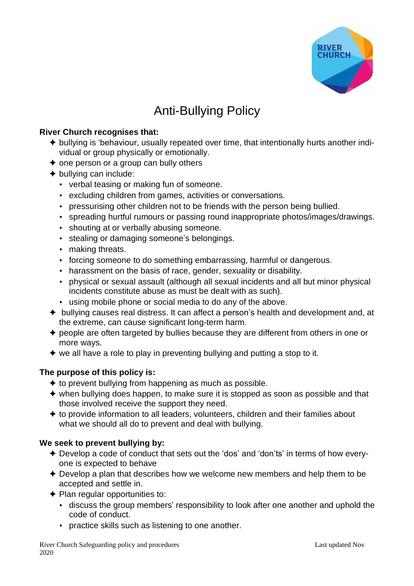

# Anti-Bullying Policy

#### **River Church recognises that:**

- ✦ bullying is 'behaviour, usually repeated over time, that intentionally hurts another individual or group physically or emotionally.
- $\triangle$  one person or a group can bully others
- $\triangle$  bullying can include:
	- verbal teasing or making fun of someone.
	- excluding children from games, activities or conversations.
	- pressurising other children not to be friends with the person being bullied.
	- spreading hurtful rumours or passing round inappropriate photos/images/drawings.
	- shouting at or verbally abusing someone.
	- stealing or damaging someone's belongings.
	- making threats.
	- forcing someone to do something embarrassing, harmful or dangerous.
	- harassment on the basis of race, gender, sexuality or disability.
	- physical or sexual assault (although all sexual incidents and all but minor physical incidents constitute abuse as must be dealt with as such).
	- using mobile phone or social media to do any of the above.
- ✦ bullying causes real distress. It can affect a person's health and development and, at the extreme, can cause significant long-term harm.
- ✦ people are often targeted by bullies because they are different from others in one or more ways.
- $\triangleq$  we all have a role to play in preventing bullying and putting a stop to it.

## **The purpose of this policy is:**

- $\triangle$  to prevent bullying from happening as much as possible.
- ✦ when bullying does happen, to make sure it is stopped as soon as possible and that those involved receive the support they need.
- ✦ to provide information to all leaders, volunteers, children and their families about what we should all do to prevent and deal with bullying.

## **We seek to prevent bullying by:**

- ✦ Develop a code of conduct that sets out the 'dos' and 'don'ts' in terms of how everyone is expected to behave
- ✦ Develop a plan that describes how we welcome new members and help them to be accepted and settle in.
- ✦ Plan regular opportunities to:
	- discuss the group members' responsibility to look after one another and uphold the code of conduct.
	- practice skills such as listening to one another.